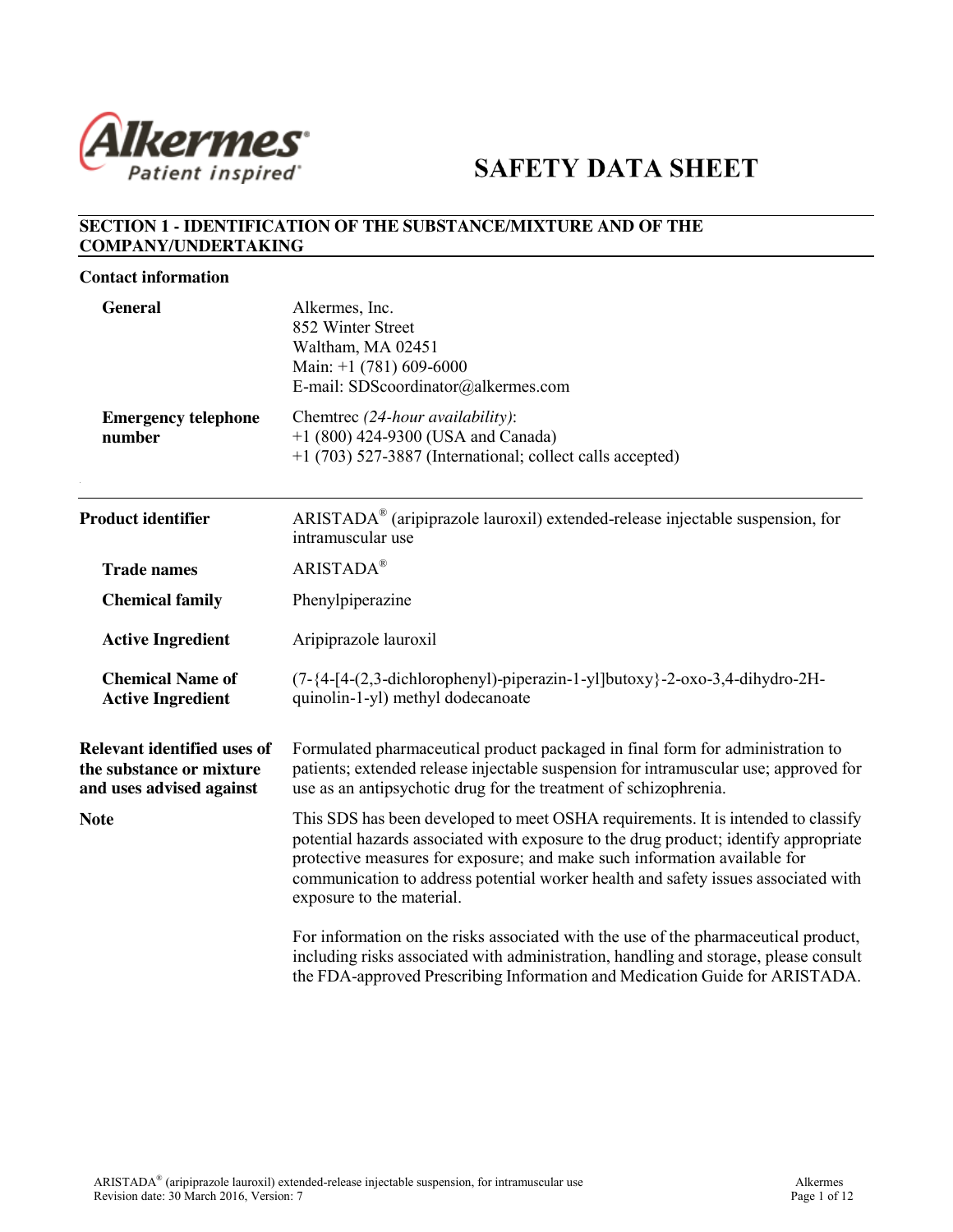

# **SAFETY DATA SHEET**

## **SECTION 1 - IDENTIFICATION OF THE SUBSTANCE/MIXTURE AND OF THE COMPANY/UNDERTAKING**

#### **Contact information**

| <b>General</b>                                                                             | Alkermes, Inc.<br>852 Winter Street<br>Waltham, MA 02451<br>Main: $+1$ (781) 609-6000<br>E-mail: SDScoordinator@alkermes.com                                                                                                                                                                                                                                              |  |  |  |  |
|--------------------------------------------------------------------------------------------|---------------------------------------------------------------------------------------------------------------------------------------------------------------------------------------------------------------------------------------------------------------------------------------------------------------------------------------------------------------------------|--|--|--|--|
| <b>Emergency telephone</b><br>number                                                       | Chemtrec (24-hour availability):<br>$+1$ (800) 424-9300 (USA and Canada)<br>+1 (703) 527-3887 (International; collect calls accepted)                                                                                                                                                                                                                                     |  |  |  |  |
| <b>Product identifier</b>                                                                  | ARISTADA® (aripiprazole lauroxil) extended-release injectable suspension, for<br>intramuscular use                                                                                                                                                                                                                                                                        |  |  |  |  |
| <b>Trade names</b>                                                                         | <b>ARISTADA®</b>                                                                                                                                                                                                                                                                                                                                                          |  |  |  |  |
| <b>Chemical family</b>                                                                     | Phenylpiperazine                                                                                                                                                                                                                                                                                                                                                          |  |  |  |  |
| <b>Active Ingredient</b>                                                                   | Aripiprazole lauroxil                                                                                                                                                                                                                                                                                                                                                     |  |  |  |  |
| <b>Chemical Name of</b><br><b>Active Ingredient</b>                                        | $(7-{4-[4-(2,3-dichloropheny])-piperazin-1-yl]butoxy}-2-oxo-3,4-dihydro-2H-$<br>quinolin-1-yl) methyl dodecanoate                                                                                                                                                                                                                                                         |  |  |  |  |
| <b>Relevant identified uses of</b><br>the substance or mixture<br>and uses advised against | Formulated pharmaceutical product packaged in final form for administration to<br>patients; extended release injectable suspension for intramuscular use; approved for<br>use as an antipsychotic drug for the treatment of schizophrenia.                                                                                                                                |  |  |  |  |
| <b>Note</b>                                                                                | This SDS has been developed to meet OSHA requirements. It is intended to classify<br>potential hazards associated with exposure to the drug product; identify appropriate<br>protective measures for exposure; and make such information available for<br>communication to address potential worker health and safety issues associated with<br>exposure to the material. |  |  |  |  |
|                                                                                            | For information on the risks associated with the use of the pharmaceutical product,<br>including risks associated with administration, handling and storage, please consult<br>the FDA-approved Prescribing Information and Medication Guide for ARISTADA.                                                                                                                |  |  |  |  |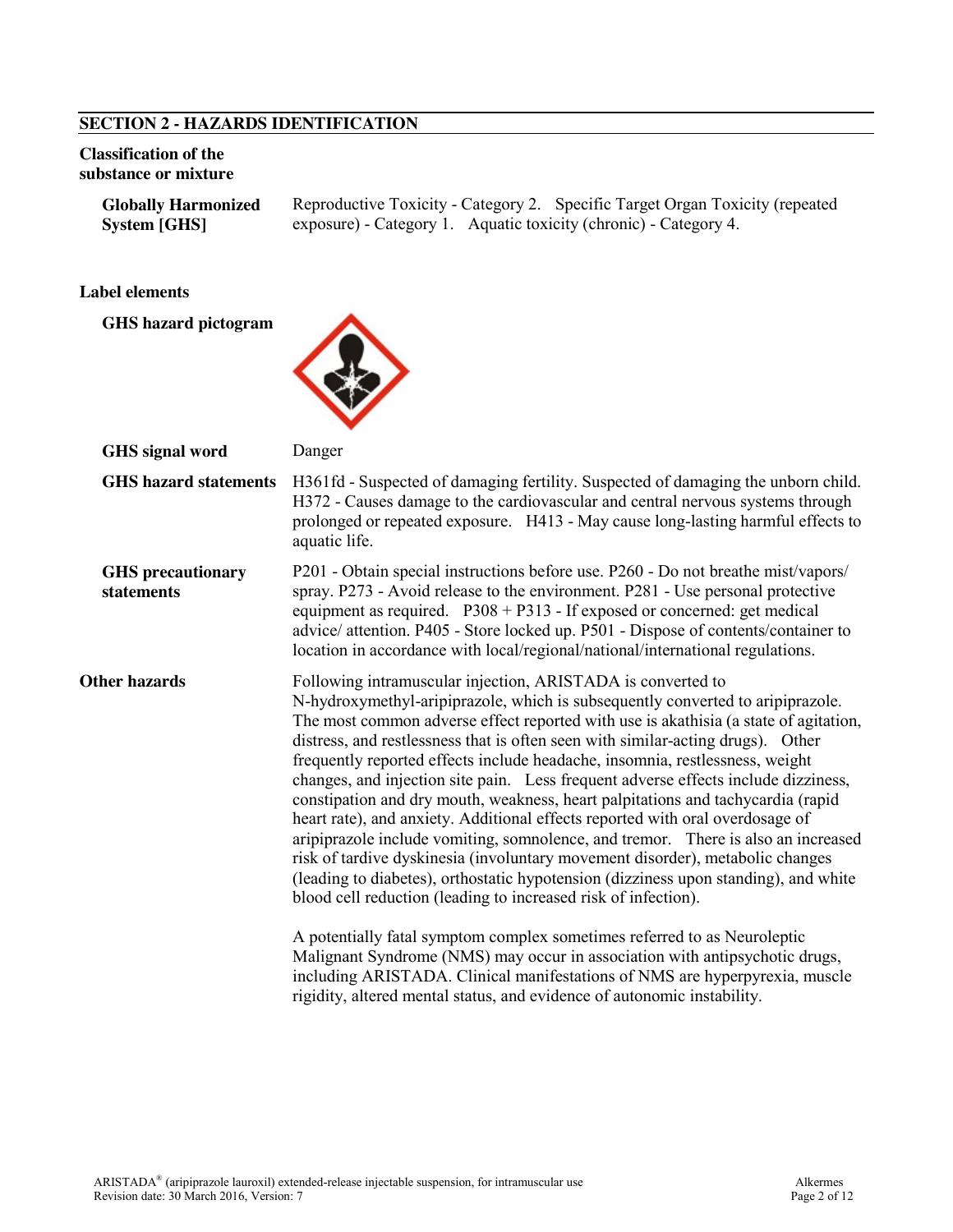### **SECTION 2 - HAZARDS IDENTIFICATION**

#### **Classification of the substance or mixture**

**Globally Harmonized System [GHS]** Reproductive Toxicity - Category 2. Specific Target Organ Toxicity (repeated exposure) - Category 1. Aquatic toxicity (chronic) - Category 4.

#### **Label elements**

**GHS hazard pictogram**



| <b>GHS</b> signal word                 | Danger                                                                                                                                                                                                                                                                                                                                                                                                                                                                                                                                                                                                                                                                                                                                                                                                                                                                                                                                                                                                                                                                                                                                                                                                                                                                                                                 |  |  |  |
|----------------------------------------|------------------------------------------------------------------------------------------------------------------------------------------------------------------------------------------------------------------------------------------------------------------------------------------------------------------------------------------------------------------------------------------------------------------------------------------------------------------------------------------------------------------------------------------------------------------------------------------------------------------------------------------------------------------------------------------------------------------------------------------------------------------------------------------------------------------------------------------------------------------------------------------------------------------------------------------------------------------------------------------------------------------------------------------------------------------------------------------------------------------------------------------------------------------------------------------------------------------------------------------------------------------------------------------------------------------------|--|--|--|
| <b>GHS</b> hazard statements           | H361fd - Suspected of damaging fertility. Suspected of damaging the unborn child.<br>H372 - Causes damage to the cardiovascular and central nervous systems through<br>prolonged or repeated exposure. H413 - May cause long-lasting harmful effects to<br>aquatic life.                                                                                                                                                                                                                                                                                                                                                                                                                                                                                                                                                                                                                                                                                                                                                                                                                                                                                                                                                                                                                                               |  |  |  |
| <b>GHS</b> precautionary<br>statements | P201 - Obtain special instructions before use. P260 - Do not breathe mist/vapors/<br>spray. P273 - Avoid release to the environment. P281 - Use personal protective<br>equipment as required. $P308 + P313$ - If exposed or concerned: get medical<br>advice/ attention. P405 - Store locked up. P501 - Dispose of contents/container to<br>location in accordance with local/regional/national/international regulations.                                                                                                                                                                                                                                                                                                                                                                                                                                                                                                                                                                                                                                                                                                                                                                                                                                                                                             |  |  |  |
| <b>Other hazards</b>                   | Following intramuscular injection, ARISTADA is converted to<br>N-hydroxymethyl-aripiprazole, which is subsequently converted to aripiprazole.<br>The most common adverse effect reported with use is akathisia (a state of agitation,<br>distress, and restlessness that is often seen with similar-acting drugs). Other<br>frequently reported effects include headache, insomnia, restlessness, weight<br>changes, and injection site pain. Less frequent adverse effects include dizziness,<br>constipation and dry mouth, weakness, heart palpitations and tachycardia (rapid<br>heart rate), and anxiety. Additional effects reported with oral overdosage of<br>aripiprazole include vomiting, somnolence, and tremor. There is also an increased<br>risk of tardive dyskinesia (involuntary movement disorder), metabolic changes<br>(leading to diabetes), orthostatic hypotension (dizziness upon standing), and white<br>blood cell reduction (leading to increased risk of infection).<br>A potentially fatal symptom complex sometimes referred to as Neuroleptic<br>Malignant Syndrome (NMS) may occur in association with antipsychotic drugs,<br>including ARISTADA. Clinical manifestations of NMS are hyperpyrexia, muscle<br>rigidity, altered mental status, and evidence of autonomic instability. |  |  |  |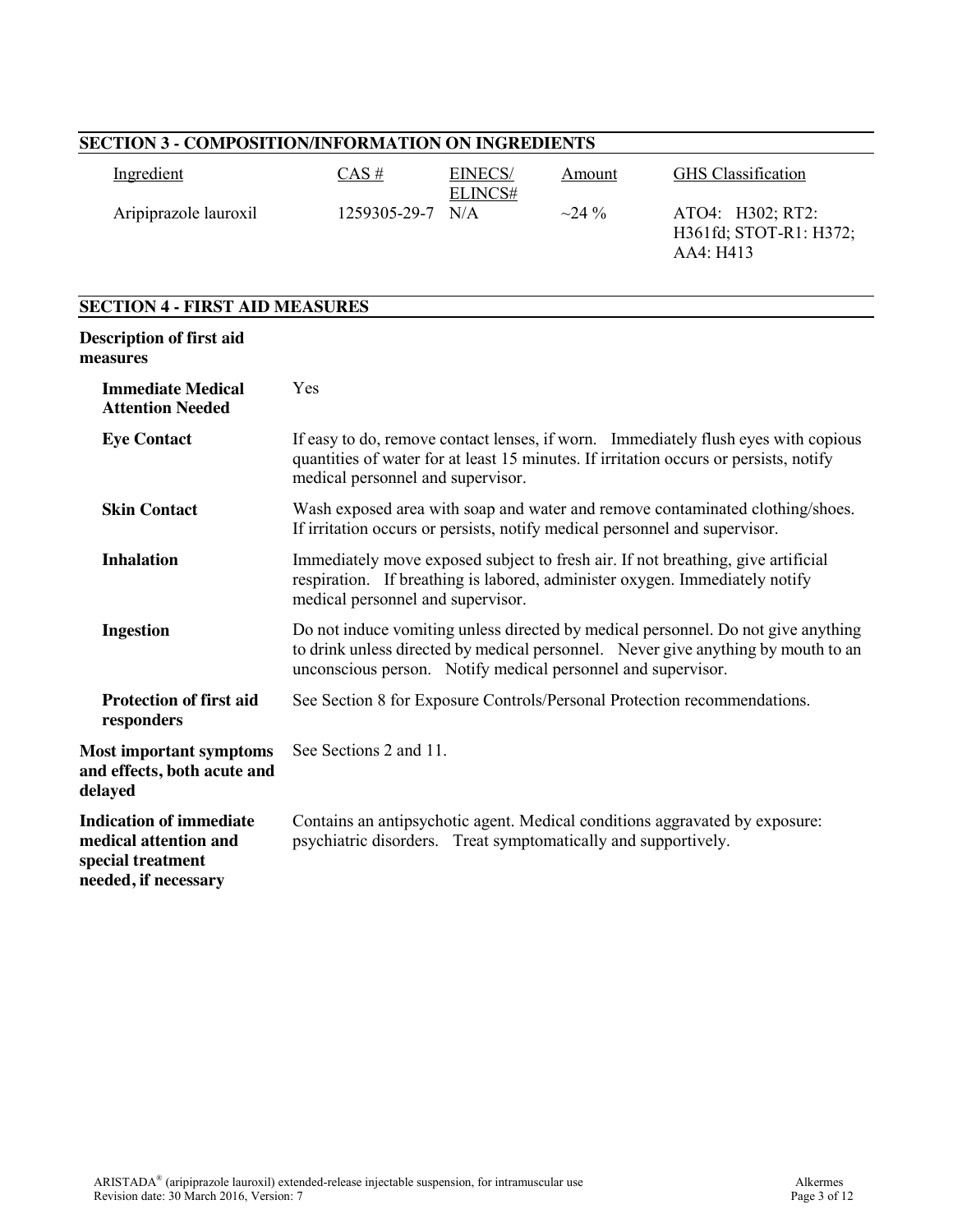| <b>SECTION 3 - COMPOSITION/INFORMATION ON INGREDIENTS</b>                                            |                                                                                                                                                                                                                                        |                           |        |                                                                             |  |
|------------------------------------------------------------------------------------------------------|----------------------------------------------------------------------------------------------------------------------------------------------------------------------------------------------------------------------------------------|---------------------------|--------|-----------------------------------------------------------------------------|--|
| Ingredient                                                                                           | CAS#                                                                                                                                                                                                                                   | <b>EINECS/</b><br>ELINCS# | Amount | <b>GHS</b> Classification                                                   |  |
| Aripiprazole lauroxil                                                                                | 1259305-29-7                                                                                                                                                                                                                           | N/A                       | ~24%   | ATO4: H302; RT2:<br>H361fd; STOT-R1: H372;<br>AA4: H413                     |  |
| <b>SECTION 4 - FIRST AID MEASURES</b>                                                                |                                                                                                                                                                                                                                        |                           |        |                                                                             |  |
| <b>Description of first aid</b><br>measures                                                          |                                                                                                                                                                                                                                        |                           |        |                                                                             |  |
| <b>Immediate Medical</b><br><b>Attention Needed</b>                                                  | Yes                                                                                                                                                                                                                                    |                           |        |                                                                             |  |
| <b>Eye Contact</b>                                                                                   | If easy to do, remove contact lenses, if worn. Immediately flush eyes with copious<br>quantities of water for at least 15 minutes. If irritation occurs or persists, notify<br>medical personnel and supervisor.                       |                           |        |                                                                             |  |
| <b>Skin Contact</b>                                                                                  | Wash exposed area with soap and water and remove contaminated clothing/shoes.<br>If irritation occurs or persists, notify medical personnel and supervisor.                                                                            |                           |        |                                                                             |  |
| <b>Inhalation</b>                                                                                    | Immediately move exposed subject to fresh air. If not breathing, give artificial<br>respiration. If breathing is labored, administer oxygen. Immediately notify<br>medical personnel and supervisor.                                   |                           |        |                                                                             |  |
| <b>Ingestion</b>                                                                                     | Do not induce vomiting unless directed by medical personnel. Do not give anything<br>to drink unless directed by medical personnel. Never give anything by mouth to an<br>unconscious person. Notify medical personnel and supervisor. |                           |        |                                                                             |  |
| <b>Protection of first aid</b><br>responders                                                         | See Section 8 for Exposure Controls/Personal Protection recommendations.                                                                                                                                                               |                           |        |                                                                             |  |
| <b>Most important symptoms</b><br>and effects, both acute and<br>delayed                             | See Sections 2 and 11.                                                                                                                                                                                                                 |                           |        |                                                                             |  |
| <b>Indication of immediate</b><br>medical attention and<br>special treatment<br>needed, if necessary | psychiatric disorders. Treat symptomatically and supportively.                                                                                                                                                                         |                           |        | Contains an antipsychotic agent. Medical conditions aggravated by exposure: |  |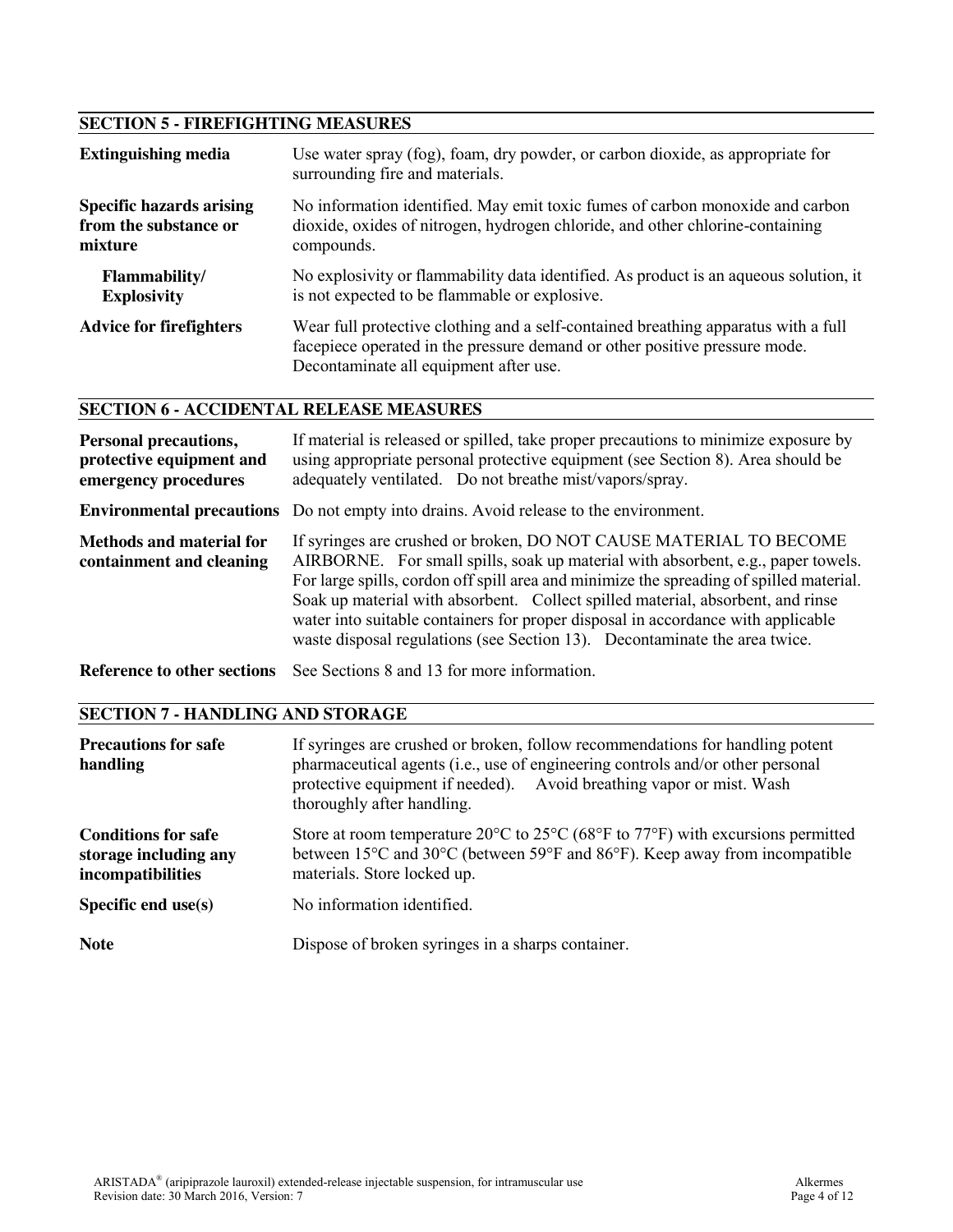# **SECTION 5 - FIREFIGHTING MEASURES**

| <b>Extinguishing media</b>      | Use water spray (fog), foam, dry powder, or carbon dioxide, as appropriate for<br>surrounding fire and materials.                                                                                          |
|---------------------------------|------------------------------------------------------------------------------------------------------------------------------------------------------------------------------------------------------------|
| <b>Specific hazards arising</b> | No information identified. May emit toxic fumes of carbon monoxide and carbon                                                                                                                              |
| from the substance or           | dioxide, oxides of nitrogen, hydrogen chloride, and other chlorine-containing                                                                                                                              |
| mixture                         | compounds.                                                                                                                                                                                                 |
| <b>Flammability/</b>            | No explosivity or flammability data identified. As product is an aqueous solution, it                                                                                                                      |
| <b>Explosivity</b>              | is not expected to be flammable or explosive.                                                                                                                                                              |
| <b>Advice for firefighters</b>  | Wear full protective clothing and a self-contained breathing apparatus with a full<br>facepiece operated in the pressure demand or other positive pressure mode.<br>Decontaminate all equipment after use. |

## **SECTION 6 - ACCIDENTAL RELEASE MEASURES**

| <b>Personal precautions,</b><br>protective equipment and<br>emergency procedures | If material is released or spilled, take proper precautions to minimize exposure by<br>using appropriate personal protective equipment (see Section 8). Area should be<br>adequately ventilated. Do not breathe mist/vapors/spray.                                                                                                                                                                                                                                                                     |  |  |  |
|----------------------------------------------------------------------------------|--------------------------------------------------------------------------------------------------------------------------------------------------------------------------------------------------------------------------------------------------------------------------------------------------------------------------------------------------------------------------------------------------------------------------------------------------------------------------------------------------------|--|--|--|
|                                                                                  | <b>Environmental precautions</b> Do not empty into drains. Avoid release to the environment.                                                                                                                                                                                                                                                                                                                                                                                                           |  |  |  |
| <b>Methods and material for</b><br>containment and cleaning                      | If syringes are crushed or broken, DO NOT CAUSE MATERIAL TO BECOME<br>AIRBORNE. For small spills, soak up material with absorbent, e.g., paper towels.<br>For large spills, cordon off spill area and minimize the spreading of spilled material.<br>Soak up material with absorbent. Collect spilled material, absorbent, and rinse<br>water into suitable containers for proper disposal in accordance with applicable<br>waste disposal regulations (see Section 13). Decontaminate the area twice. |  |  |  |

**Reference to other sections** See Sections 8 and 13 for more information.

# **SECTION 7 - HANDLING AND STORAGE**

| <b>Precautions for safe</b><br>handling                                  | If syringes are crushed or broken, follow recommendations for handling potent<br>pharmaceutical agents (i.e., use of engineering controls and/or other personal<br>protective equipment if needed). Avoid breathing vapor or mist. Wash<br>thoroughly after handling.                                         |
|--------------------------------------------------------------------------|---------------------------------------------------------------------------------------------------------------------------------------------------------------------------------------------------------------------------------------------------------------------------------------------------------------|
| <b>Conditions for safe</b><br>storage including any<br>incompatibilities | Store at room temperature 20 $\rm{^{\circ}C}$ to 25 $\rm{^{\circ}C}$ (68 $\rm{^{\circ}F}$ to 77 $\rm{^{\circ}F}$ ) with excursions permitted<br>between 15 <sup>o</sup> C and 30 <sup>o</sup> C (between 59 <sup>o</sup> F and 86 <sup>o</sup> F). Keep away from incompatible<br>materials. Store locked up. |
| Specific end $use(s)$                                                    | No information identified.                                                                                                                                                                                                                                                                                    |
| <b>Note</b>                                                              | Dispose of broken syringes in a sharps container.                                                                                                                                                                                                                                                             |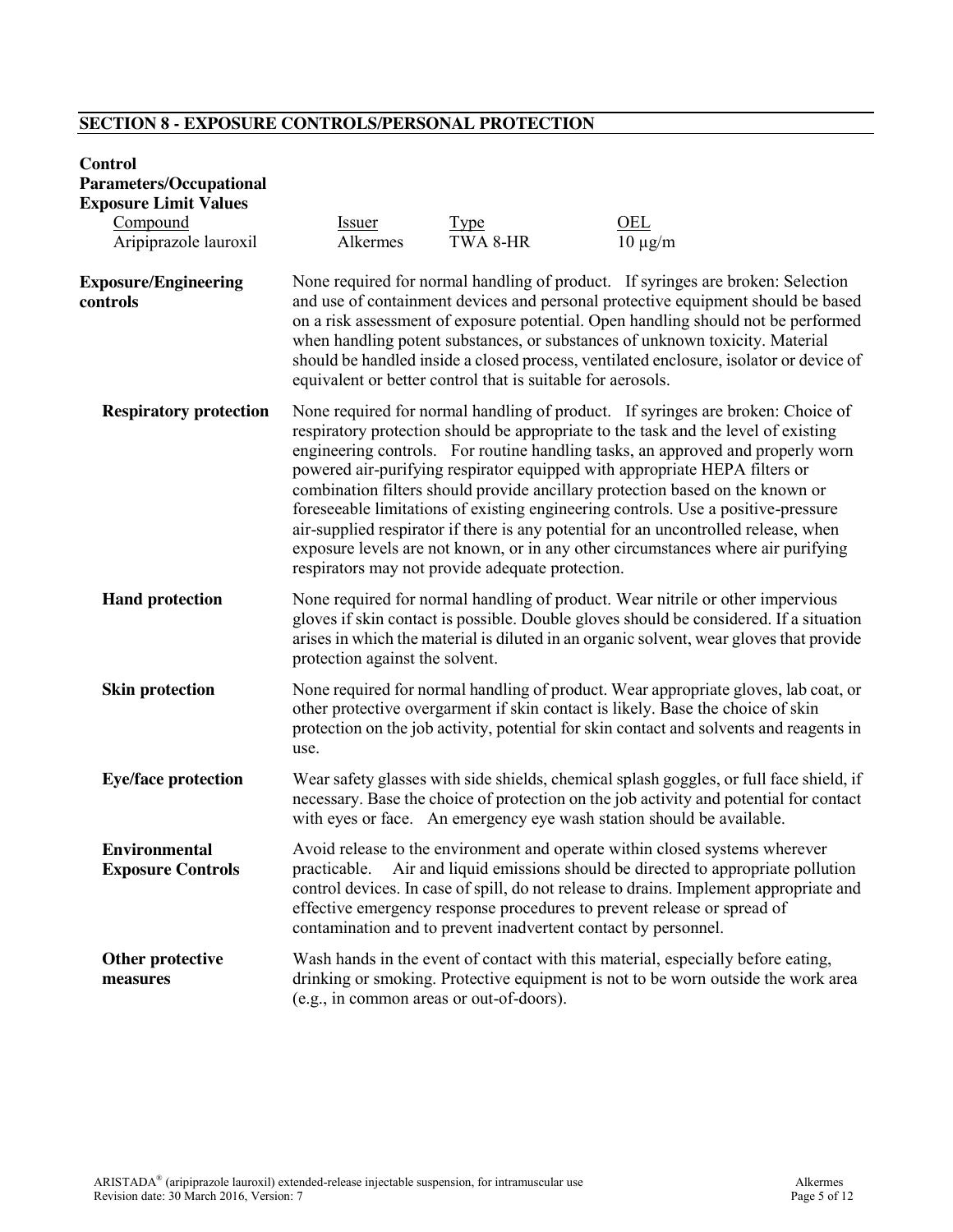# **SECTION 8 - EXPOSURE CONTROLS/PERSONAL PROTECTION**

| <b>Control</b><br><b>Parameters/Occupational</b><br><b>Exposure Limit Values</b><br>Compound<br>Aripiprazole lauroxil | <b>Issuer</b><br>Alkermes                                                                                                                                                                                                                                                                                                                                                                                                                                                                                                                                                                                                                                                                                                                   | <b>Type</b><br>TWA 8-HR                                        | OEL<br>$10 \mu g/m$                                                                                                                                                                                                                                                                                                      |  |
|-----------------------------------------------------------------------------------------------------------------------|---------------------------------------------------------------------------------------------------------------------------------------------------------------------------------------------------------------------------------------------------------------------------------------------------------------------------------------------------------------------------------------------------------------------------------------------------------------------------------------------------------------------------------------------------------------------------------------------------------------------------------------------------------------------------------------------------------------------------------------------|----------------------------------------------------------------|--------------------------------------------------------------------------------------------------------------------------------------------------------------------------------------------------------------------------------------------------------------------------------------------------------------------------|--|
| <b>Exposure/Engineering</b><br>controls                                                                               | None required for normal handling of product. If syringes are broken: Selection<br>and use of containment devices and personal protective equipment should be based<br>on a risk assessment of exposure potential. Open handling should not be performed<br>when handling potent substances, or substances of unknown toxicity. Material<br>should be handled inside a closed process, ventilated enclosure, isolator or device of<br>equivalent or better control that is suitable for aerosols.                                                                                                                                                                                                                                           |                                                                |                                                                                                                                                                                                                                                                                                                          |  |
| <b>Respiratory protection</b>                                                                                         | None required for normal handling of product. If syringes are broken: Choice of<br>respiratory protection should be appropriate to the task and the level of existing<br>engineering controls. For routine handling tasks, an approved and properly worn<br>powered air-purifying respirator equipped with appropriate HEPA filters or<br>combination filters should provide ancillary protection based on the known or<br>foreseeable limitations of existing engineering controls. Use a positive-pressure<br>air-supplied respirator if there is any potential for an uncontrolled release, when<br>exposure levels are not known, or in any other circumstances where air purifying<br>respirators may not provide adequate protection. |                                                                |                                                                                                                                                                                                                                                                                                                          |  |
| <b>Hand protection</b>                                                                                                | protection against the solvent.                                                                                                                                                                                                                                                                                                                                                                                                                                                                                                                                                                                                                                                                                                             |                                                                | None required for normal handling of product. Wear nitrile or other impervious<br>gloves if skin contact is possible. Double gloves should be considered. If a situation<br>arises in which the material is diluted in an organic solvent, wear gloves that provide                                                      |  |
| <b>Skin protection</b>                                                                                                | None required for normal handling of product. Wear appropriate gloves, lab coat, or<br>other protective overgarment if skin contact is likely. Base the choice of skin<br>protection on the job activity, potential for skin contact and solvents and reagents in<br>use.                                                                                                                                                                                                                                                                                                                                                                                                                                                                   |                                                                |                                                                                                                                                                                                                                                                                                                          |  |
| <b>Eye/face protection</b>                                                                                            |                                                                                                                                                                                                                                                                                                                                                                                                                                                                                                                                                                                                                                                                                                                                             |                                                                | Wear safety glasses with side shields, chemical splash goggles, or full face shield, if<br>necessary. Base the choice of protection on the job activity and potential for contact<br>with eyes or face. An emergency eye wash station should be available.                                                               |  |
| <b>Environmental</b><br><b>Exposure Controls</b>                                                                      | practicable.                                                                                                                                                                                                                                                                                                                                                                                                                                                                                                                                                                                                                                                                                                                                | contamination and to prevent inadvertent contact by personnel. | Avoid release to the environment and operate within closed systems wherever<br>Air and liquid emissions should be directed to appropriate pollution<br>control devices. In case of spill, do not release to drains. Implement appropriate and<br>effective emergency response procedures to prevent release or spread of |  |
| Other protective<br>measures                                                                                          | (e.g., in common areas or out-of-doors).                                                                                                                                                                                                                                                                                                                                                                                                                                                                                                                                                                                                                                                                                                    |                                                                | Wash hands in the event of contact with this material, especially before eating,<br>drinking or smoking. Protective equipment is not to be worn outside the work area                                                                                                                                                    |  |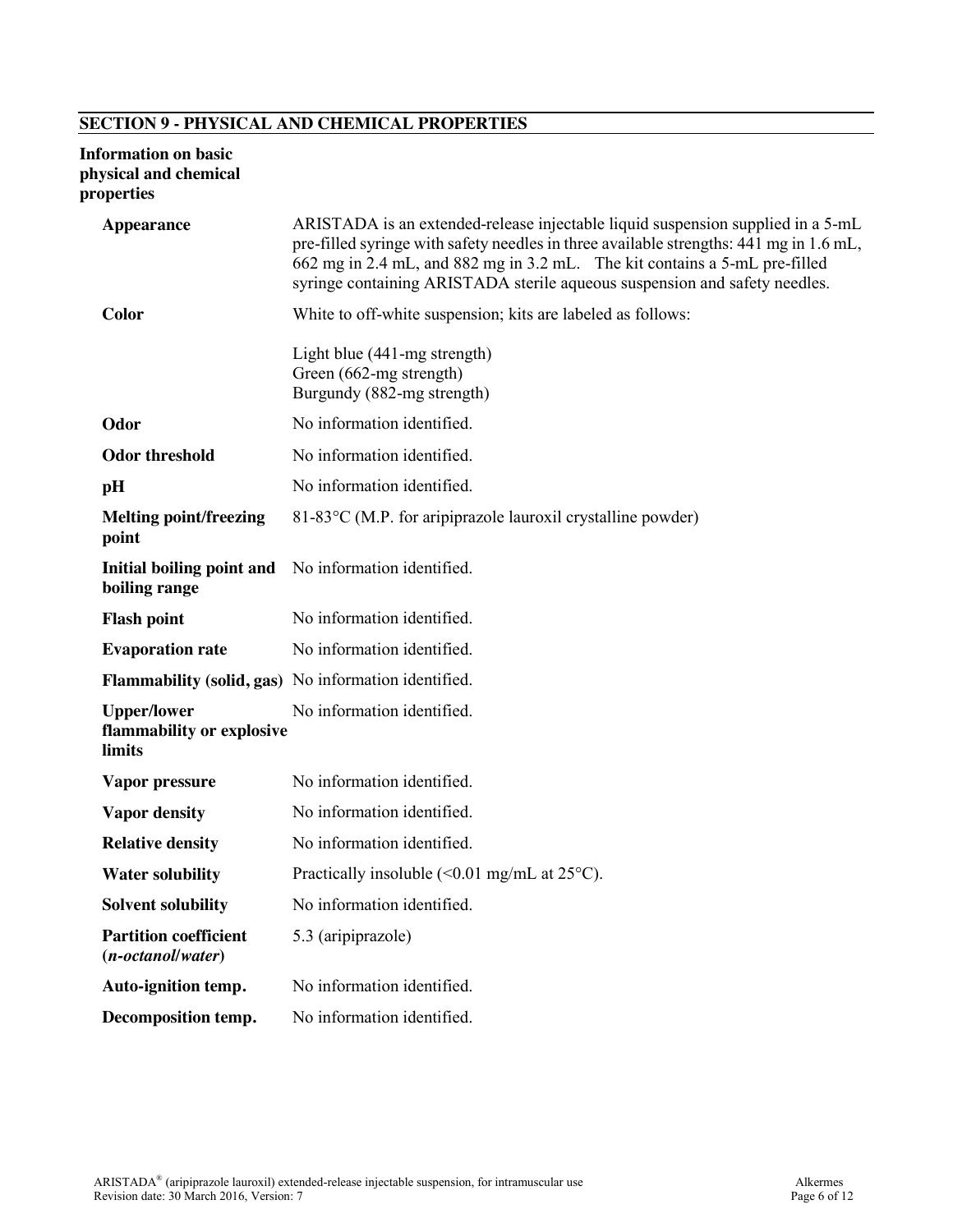# **SECTION 9 - PHYSICAL AND CHEMICAL PROPERTIES**

#### **Information on basic physical and chemical properties**

| <b>Appearance</b><br><b>Color</b>                         | ARISTADA is an extended-release injectable liquid suspension supplied in a 5-mL<br>pre-filled syringe with safety needles in three available strengths: 441 mg in 1.6 mL,<br>662 mg in 2.4 mL, and 882 mg in 3.2 mL. The kit contains a 5-mL pre-filled<br>syringe containing ARISTADA sterile aqueous suspension and safety needles.<br>White to off-white suspension; kits are labeled as follows: |
|-----------------------------------------------------------|------------------------------------------------------------------------------------------------------------------------------------------------------------------------------------------------------------------------------------------------------------------------------------------------------------------------------------------------------------------------------------------------------|
|                                                           | Light blue (441-mg strength)<br>Green (662-mg strength)<br>Burgundy (882-mg strength)                                                                                                                                                                                                                                                                                                                |
| Odor                                                      | No information identified.                                                                                                                                                                                                                                                                                                                                                                           |
| <b>Odor threshold</b>                                     | No information identified.                                                                                                                                                                                                                                                                                                                                                                           |
| pH                                                        | No information identified.                                                                                                                                                                                                                                                                                                                                                                           |
| <b>Melting point/freezing</b><br>point                    | 81-83 °C (M.P. for aripiprazole lauroxil crystalline powder)                                                                                                                                                                                                                                                                                                                                         |
| boiling range                                             | Initial boiling point and No information identified.                                                                                                                                                                                                                                                                                                                                                 |
| <b>Flash point</b>                                        | No information identified.                                                                                                                                                                                                                                                                                                                                                                           |
| <b>Evaporation rate</b>                                   | No information identified.                                                                                                                                                                                                                                                                                                                                                                           |
|                                                           | Flammability (solid, gas) No information identified.                                                                                                                                                                                                                                                                                                                                                 |
| <b>Upper/lower</b><br>flammability or explosive<br>limits | No information identified.                                                                                                                                                                                                                                                                                                                                                                           |
| Vapor pressure                                            | No information identified.                                                                                                                                                                                                                                                                                                                                                                           |
| <b>Vapor density</b>                                      | No information identified.                                                                                                                                                                                                                                                                                                                                                                           |
| <b>Relative density</b>                                   | No information identified.                                                                                                                                                                                                                                                                                                                                                                           |
| <b>Water solubility</b>                                   | Practically insoluble $(<0.01$ mg/mL at 25 $^{\circ}$ C).                                                                                                                                                                                                                                                                                                                                            |
| <b>Solvent solubility</b>                                 | No information identified.                                                                                                                                                                                                                                                                                                                                                                           |
| <b>Partition coefficient</b><br>$(n-octanol/water)$       | 5.3 (aripiprazole)                                                                                                                                                                                                                                                                                                                                                                                   |
| Auto-ignition temp.                                       | No information identified.                                                                                                                                                                                                                                                                                                                                                                           |
| Decomposition temp.                                       | No information identified.                                                                                                                                                                                                                                                                                                                                                                           |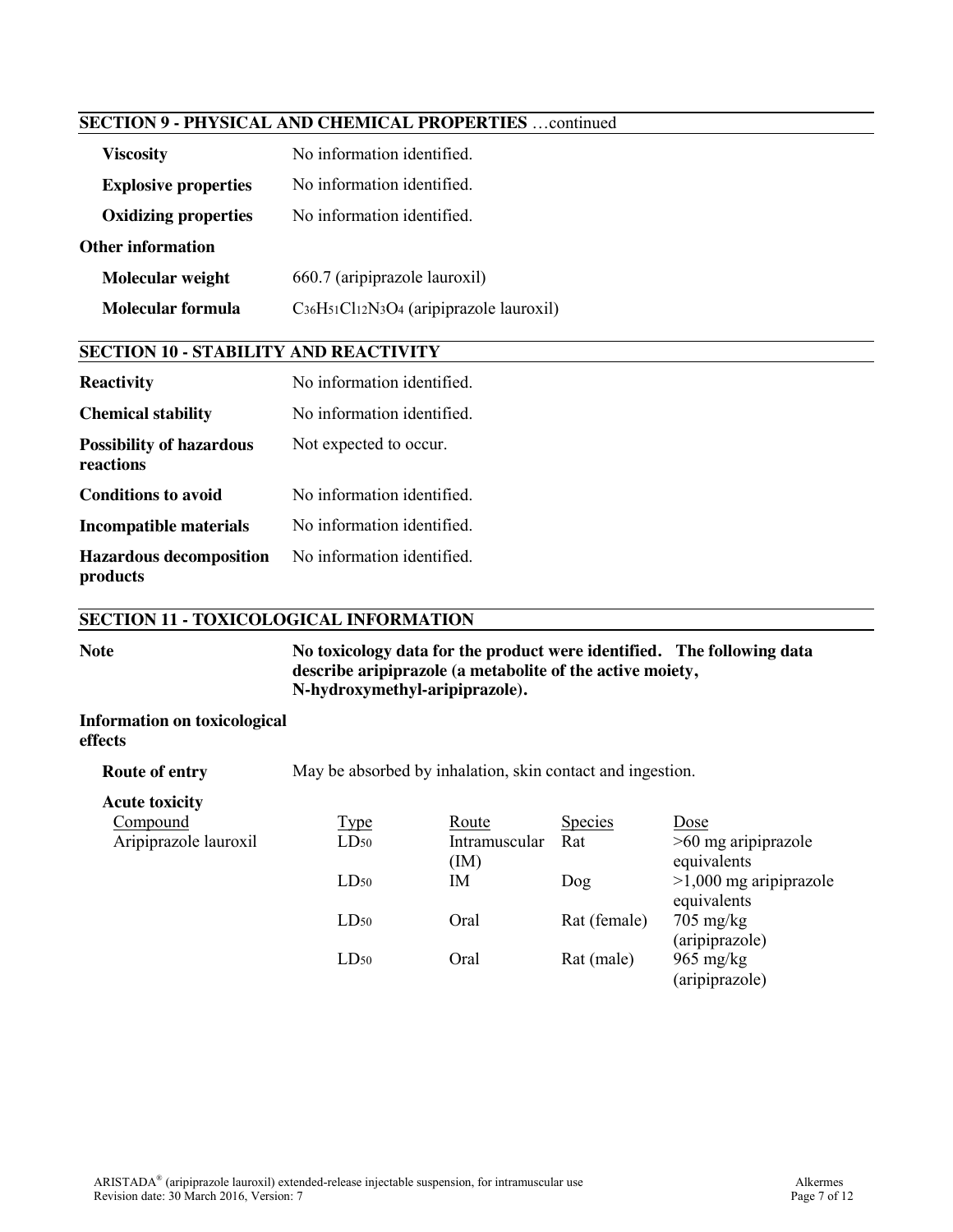## **SECTION 9 - PHYSICAL AND CHEMICAL PROPERTIES** …continued

| <b>Viscosity</b>            | No information identified              |  |  |
|-----------------------------|----------------------------------------|--|--|
| <b>Explosive properties</b> | No information identified.             |  |  |
| <b>Oxidizing properties</b> | No information identified.             |  |  |
| Other information           |                                        |  |  |
| Molecular weight            | 660.7 (aripiprazole lauroxil)          |  |  |
| Molecular formula           | C36H51Cl12N3O4 (aripiprazole lauroxil) |  |  |

### **SECTION 10 - STABILITY AND REACTIVITY**

| <b>Reactivity</b>                            | No information identified. |
|----------------------------------------------|----------------------------|
| <b>Chemical stability</b>                    | No information identified. |
| <b>Possibility of hazardous</b><br>reactions | Not expected to occur.     |
| <b>Conditions to avoid</b>                   | No information identified. |
| <b>Incompatible materials</b>                | No information identified. |
| <b>Hazardous decomposition</b><br>products   | No information identified. |

## **SECTION 11 - TOXICOLOGICAL INFORMATION**

**Note No toxicology data for the product were identified. The following data describe aripiprazole (a metabolite of the active moiety, N-hydroxymethyl-aripiprazole).** 

#### **Information on toxicological effects**

**Route of entry** May be absorbed by inhalation, skin contact and ingestion.

| Compound              | <b>Type</b> | Route         | <b>Species</b> | Dose                     |
|-----------------------|-------------|---------------|----------------|--------------------------|
| Aripiprazole lauroxil | $LD_{50}$   | Intramuscular | Rat            | $>60$ mg aripiprazole    |
|                       |             | (IM)          |                | equivalents              |
|                       | $LD_{50}$   | ΙM            | Dog            | $>1,000$ mg aripiprazole |
|                       |             |               |                | equivalents              |
|                       | $LD_{50}$   | Oral          | Rat (female)   | $705 \text{ mg/kg}$      |
|                       |             |               |                | (aripiprazole)           |
|                       | $LD_{50}$   | Oral          | Rat (male)     | $965 \text{ mg/kg}$      |
|                       |             |               |                | (aripiprazole)           |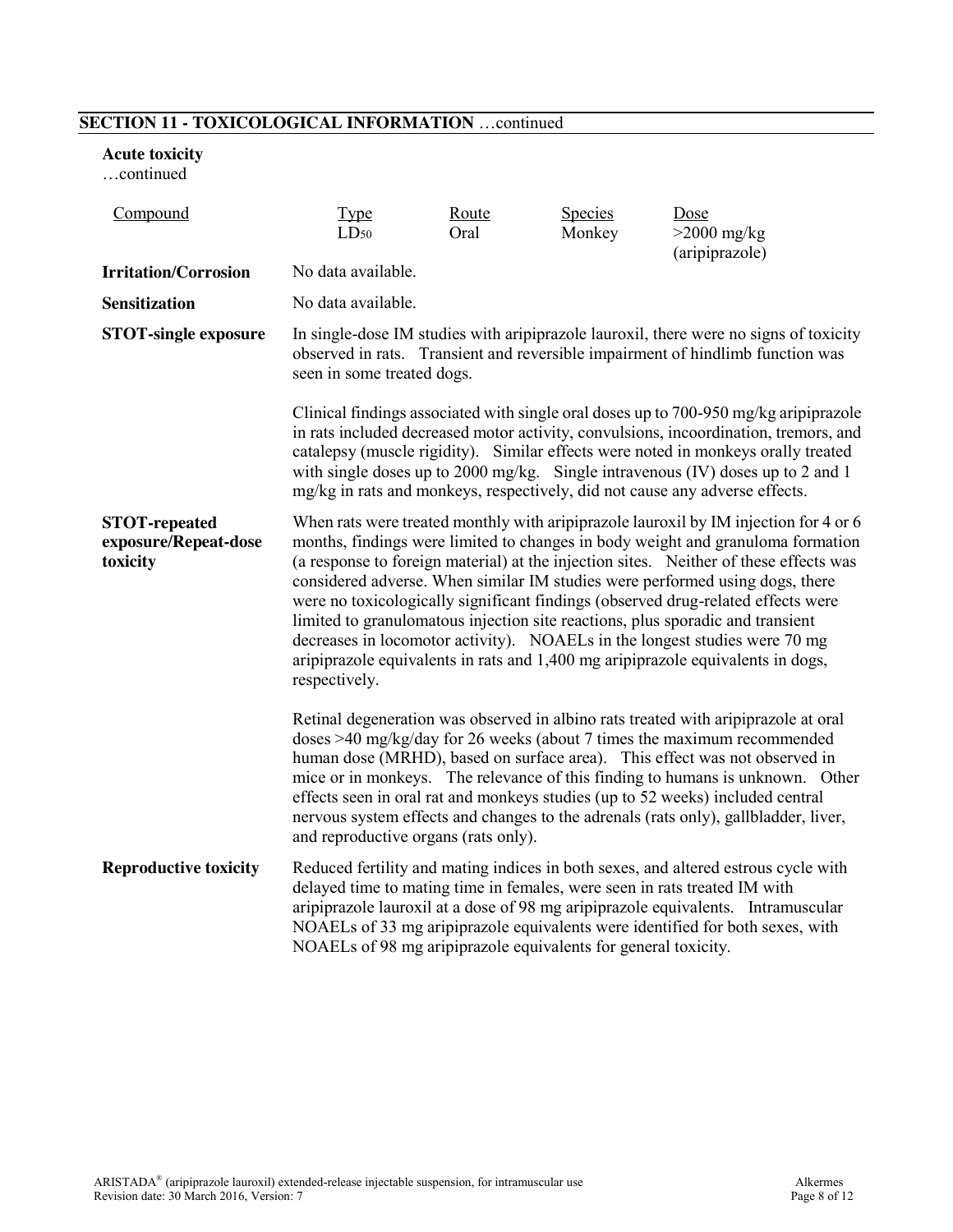## **SECTION 11 - TOXICOLOGICAL INFORMATION** …continued

#### **Acute toxicity**

…continued

| Compound                                                 | Type<br>$LD_{50}$                                                                                                                                                                                                                                                                                                                                                                                                                                                                                                                                                                                                                                                                                        | Route<br>Oral | <b>Species</b><br>Monkey | Dose<br>$>2000$ mg/kg<br>(aripiprazole)                                                                                                                                                                                                                                                                                                                                                                                                                                                                 |
|----------------------------------------------------------|----------------------------------------------------------------------------------------------------------------------------------------------------------------------------------------------------------------------------------------------------------------------------------------------------------------------------------------------------------------------------------------------------------------------------------------------------------------------------------------------------------------------------------------------------------------------------------------------------------------------------------------------------------------------------------------------------------|---------------|--------------------------|---------------------------------------------------------------------------------------------------------------------------------------------------------------------------------------------------------------------------------------------------------------------------------------------------------------------------------------------------------------------------------------------------------------------------------------------------------------------------------------------------------|
| <b>Irritation/Corrosion</b>                              | No data available.                                                                                                                                                                                                                                                                                                                                                                                                                                                                                                                                                                                                                                                                                       |               |                          |                                                                                                                                                                                                                                                                                                                                                                                                                                                                                                         |
| <b>Sensitization</b>                                     | No data available.                                                                                                                                                                                                                                                                                                                                                                                                                                                                                                                                                                                                                                                                                       |               |                          |                                                                                                                                                                                                                                                                                                                                                                                                                                                                                                         |
| <b>STOT-single exposure</b>                              | seen in some treated dogs.                                                                                                                                                                                                                                                                                                                                                                                                                                                                                                                                                                                                                                                                               |               |                          | In single-dose IM studies with aripiprazole lauroxil, there were no signs of toxicity<br>observed in rats. Transient and reversible impairment of hindlimb function was                                                                                                                                                                                                                                                                                                                                 |
|                                                          | mg/kg in rats and monkeys, respectively, did not cause any adverse effects.                                                                                                                                                                                                                                                                                                                                                                                                                                                                                                                                                                                                                              |               |                          | Clinical findings associated with single oral doses up to 700-950 mg/kg aripiprazole<br>in rats included decreased motor activity, convulsions, incoordination, tremors, and<br>catalepsy (muscle rigidity). Similar effects were noted in monkeys orally treated<br>with single doses up to 2000 mg/kg. Single intravenous (IV) doses up to 2 and 1                                                                                                                                                    |
| <b>STOT-repeated</b><br>exposure/Repeat-dose<br>toxicity | When rats were treated monthly with aripiprazole lauroxil by IM injection for 4 or 6<br>months, findings were limited to changes in body weight and granuloma formation<br>(a response to foreign material) at the injection sites. Neither of these effects was<br>considered adverse. When similar IM studies were performed using dogs, there<br>were no toxicologically significant findings (observed drug-related effects were<br>limited to granulomatous injection site reactions, plus sporadic and transient<br>decreases in locomotor activity). NOAELs in the longest studies were 70 mg<br>aripiprazole equivalents in rats and 1,400 mg aripiprazole equivalents in dogs,<br>respectively. |               |                          |                                                                                                                                                                                                                                                                                                                                                                                                                                                                                                         |
|                                                          | and reproductive organs (rats only).                                                                                                                                                                                                                                                                                                                                                                                                                                                                                                                                                                                                                                                                     |               |                          | Retinal degeneration was observed in albino rats treated with aripiprazole at oral<br>doses $>40$ mg/kg/day for 26 weeks (about 7 times the maximum recommended<br>human dose (MRHD), based on surface area). This effect was not observed in<br>mice or in monkeys. The relevance of this finding to humans is unknown. Other<br>effects seen in oral rat and monkeys studies (up to 52 weeks) included central<br>nervous system effects and changes to the adrenals (rats only), gallbladder, liver, |
| <b>Reproductive toxicity</b>                             | delayed time to mating time in females, were seen in rats treated IM with<br>NOAELs of 98 mg aripiprazole equivalents for general toxicity.                                                                                                                                                                                                                                                                                                                                                                                                                                                                                                                                                              |               |                          | Reduced fertility and mating indices in both sexes, and altered estrous cycle with<br>aripiprazole lauroxil at a dose of 98 mg aripiprazole equivalents. Intramuscular<br>NOAELs of 33 mg aripiprazole equivalents were identified for both sexes, with                                                                                                                                                                                                                                                 |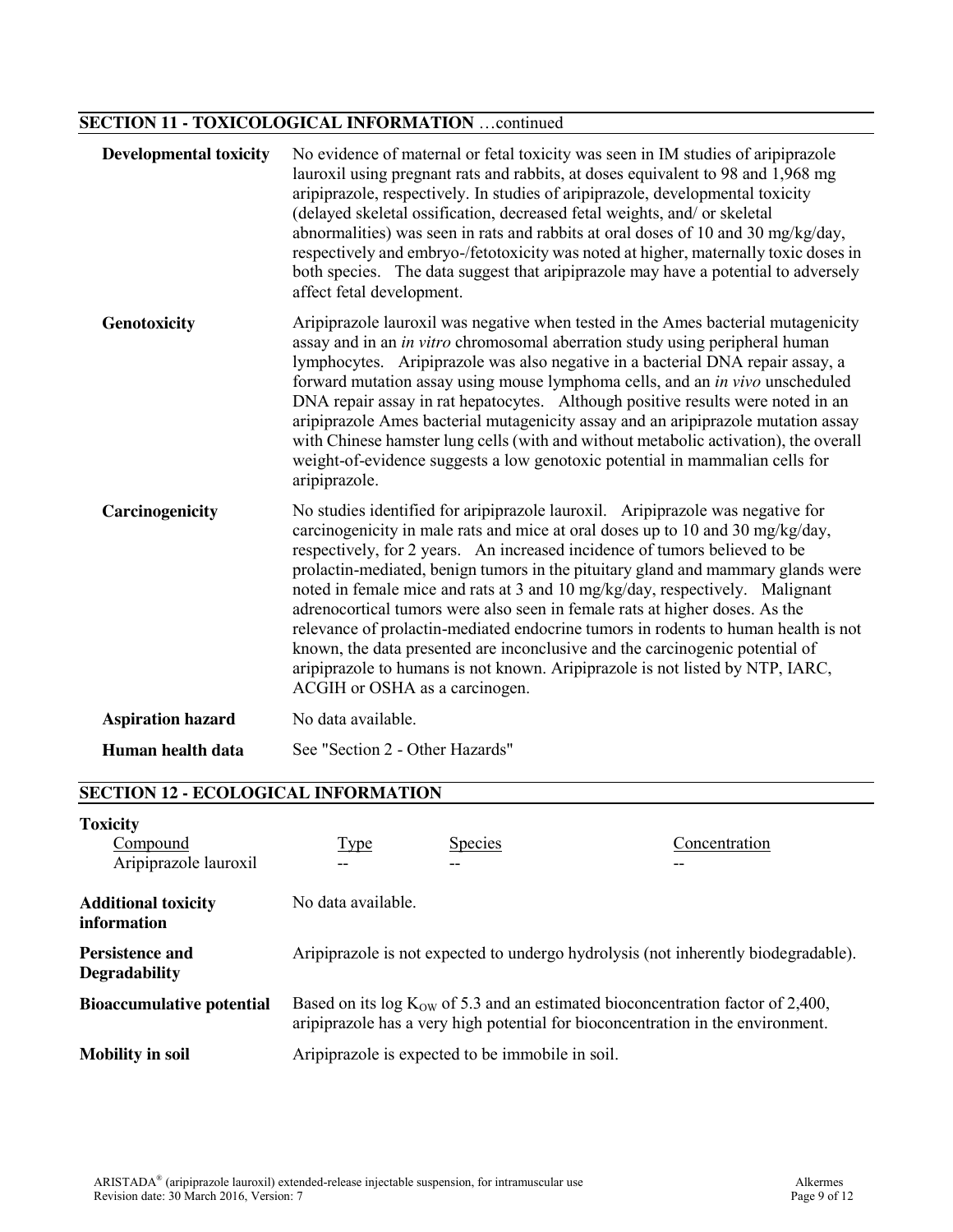# **SECTION 11 - TOXICOLOGICAL INFORMATION** …continued

| <b>Developmental toxicity</b> | No evidence of maternal or fetal toxicity was seen in IM studies of aripiprazole<br>lauroxil using pregnant rats and rabbits, at doses equivalent to 98 and 1,968 mg<br>aripiprazole, respectively. In studies of aripiprazole, developmental toxicity<br>(delayed skeletal ossification, decreased fetal weights, and/ or skeletal<br>abnormalities) was seen in rats and rabbits at oral doses of 10 and 30 mg/kg/day,<br>respectively and embryo-/fetotoxicity was noted at higher, maternally toxic doses in<br>both species. The data suggest that aripiprazole may have a potential to adversely<br>affect fetal development.                                                                                                                                                        |
|-------------------------------|--------------------------------------------------------------------------------------------------------------------------------------------------------------------------------------------------------------------------------------------------------------------------------------------------------------------------------------------------------------------------------------------------------------------------------------------------------------------------------------------------------------------------------------------------------------------------------------------------------------------------------------------------------------------------------------------------------------------------------------------------------------------------------------------|
| Genotoxicity                  | Aripiprazole lauroxil was negative when tested in the Ames bacterial mutagenicity<br>assay and in an in vitro chromosomal aberration study using peripheral human<br>lymphocytes. Aripiprazole was also negative in a bacterial DNA repair assay, a<br>forward mutation assay using mouse lymphoma cells, and an in vivo unscheduled<br>DNA repair assay in rat hepatocytes. Although positive results were noted in an<br>aripiprazole Ames bacterial mutagenicity assay and an aripiprazole mutation assay<br>with Chinese hamster lung cells (with and without metabolic activation), the overall<br>weight-of-evidence suggests a low genotoxic potential in mammalian cells for<br>aripiprazole.                                                                                      |
| Carcinogenicity               | No studies identified for aripiprazole lauroxil. Aripiprazole was negative for<br>carcinogenicity in male rats and mice at oral doses up to 10 and 30 mg/kg/day,<br>respectively, for 2 years. An increased incidence of tumors believed to be<br>prolactin-mediated, benign tumors in the pituitary gland and mammary glands were<br>noted in female mice and rats at 3 and 10 mg/kg/day, respectively. Malignant<br>adrenocortical tumors were also seen in female rats at higher doses. As the<br>relevance of prolactin-mediated endocrine tumors in rodents to human health is not<br>known, the data presented are inconclusive and the carcinogenic potential of<br>aripiprazole to humans is not known. Aripiprazole is not listed by NTP, IARC,<br>ACGIH or OSHA as a carcinogen. |
| <b>Aspiration hazard</b>      | No data available.                                                                                                                                                                                                                                                                                                                                                                                                                                                                                                                                                                                                                                                                                                                                                                         |
| Human health data             | See "Section 2 - Other Hazards"                                                                                                                                                                                                                                                                                                                                                                                                                                                                                                                                                                                                                                                                                                                                                            |

# **SECTION 12 - ECOLOGICAL INFORMATION**

| <b>Toxicity</b><br>Compound<br>Aripiprazole lauroxil | <b>Type</b>        | <b>Species</b>                                                                                                                                                         | Concentration |
|------------------------------------------------------|--------------------|------------------------------------------------------------------------------------------------------------------------------------------------------------------------|---------------|
| <b>Additional toxicity</b><br>information            | No data available. |                                                                                                                                                                        |               |
| <b>Persistence and</b><br><b>Degradability</b>       |                    | Aripiprazole is not expected to undergo hydrolysis (not inherently biodegradable).                                                                                     |               |
| <b>Bioaccumulative potential</b>                     |                    | Based on its log $K_{OW}$ of 5.3 and an estimated bioconcentration factor of 2,400,<br>aripiprazole has a very high potential for bioconcentration in the environment. |               |
| <b>Mobility in soil</b>                              |                    | Aripiprazole is expected to be immobile in soil.                                                                                                                       |               |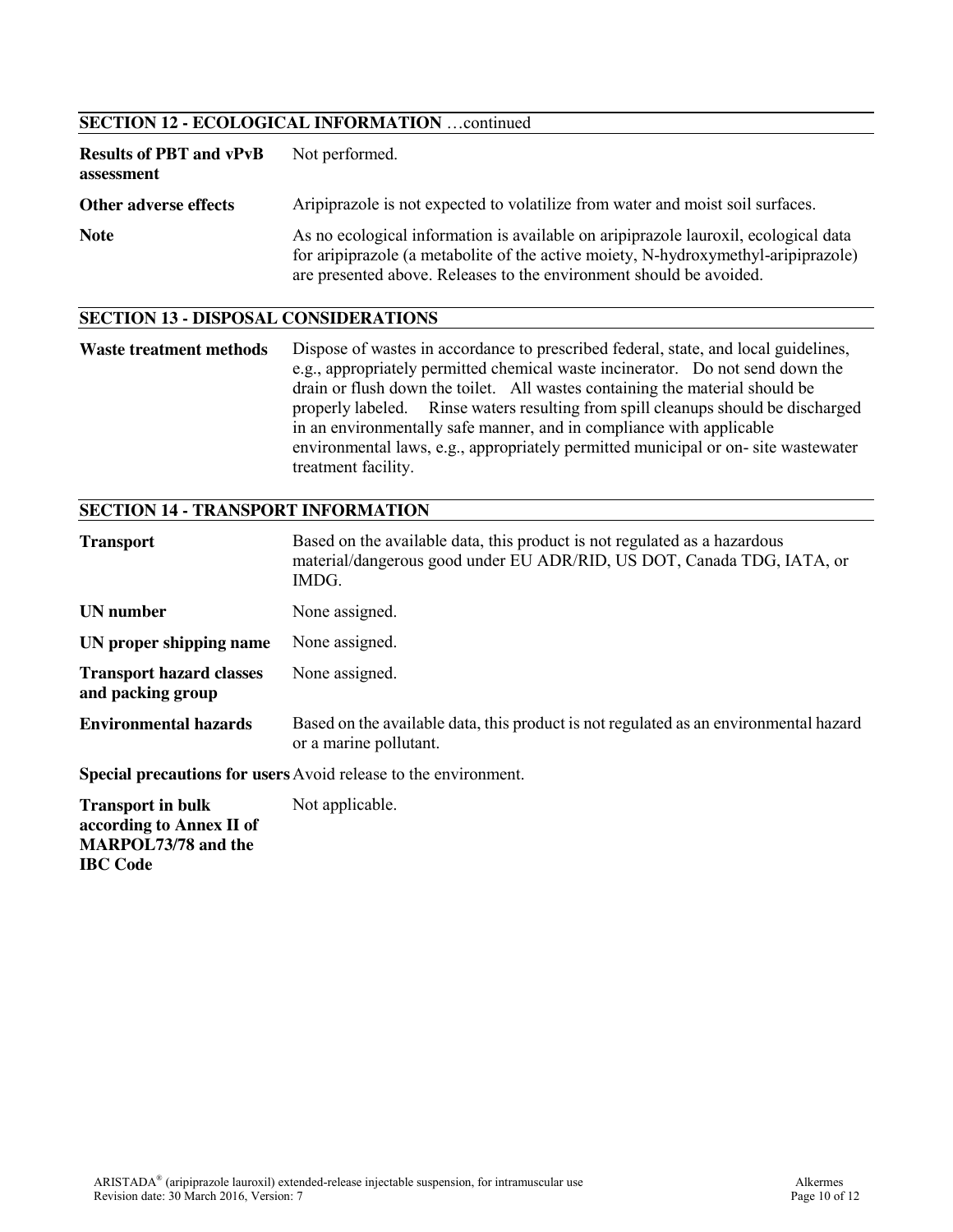## **SECTION 12 - ECOLOGICAL INFORMATION** …continued

| <b>Results of PBT and vPvB</b><br>assessment | Not performed.                                                                                                                                                                                                                                   |
|----------------------------------------------|--------------------------------------------------------------------------------------------------------------------------------------------------------------------------------------------------------------------------------------------------|
| Other adverse effects                        | Aripiprazole is not expected to volatilize from water and moist soil surfaces.                                                                                                                                                                   |
| <b>Note</b>                                  | As no ecological information is available on aripiprazole lauroxil, ecological data<br>for aripiprazole (a metabolite of the active moiety, N-hydroxymethyl-aripiprazole)<br>are presented above. Releases to the environment should be avoided. |

#### **SECTION 13 - DISPOSAL CONSIDERATIONS**

Waste treatment methods Dispose of wastes in accordance to prescribed federal, state, and local guidelines, e.g., appropriately permitted chemical waste incinerator. Do not send down the drain or flush down the toilet. All wastes containing the material should be properly labeled. Rinse waters resulting from spill cleanups should be discharged in an environmentally safe manner, and in compliance with applicable environmental laws, e.g., appropriately permitted municipal or on- site wastewater treatment facility.

## **SECTION 14 - TRANSPORT INFORMATION**

**IBC Code**

| <b>Transport</b>                                                                   | Based on the available data, this product is not regulated as a hazardous<br>material/dangerous good under EU ADR/RID, US DOT, Canada TDG, IATA, or<br>IMDG. |
|------------------------------------------------------------------------------------|--------------------------------------------------------------------------------------------------------------------------------------------------------------|
| UN number                                                                          | None assigned.                                                                                                                                               |
| UN proper shipping name                                                            | None assigned.                                                                                                                                               |
| <b>Transport hazard classes</b><br>and packing group                               | None assigned.                                                                                                                                               |
| <b>Environmental hazards</b>                                                       | Based on the available data, this product is not regulated as an environmental hazard<br>or a marine pollutant.                                              |
|                                                                                    | <b>Special precautions for users</b> Avoid release to the environment.                                                                                       |
| <b>Transport in bulk</b><br>according to Annex II of<br><b>MARPOL73/78</b> and the | Not applicable.                                                                                                                                              |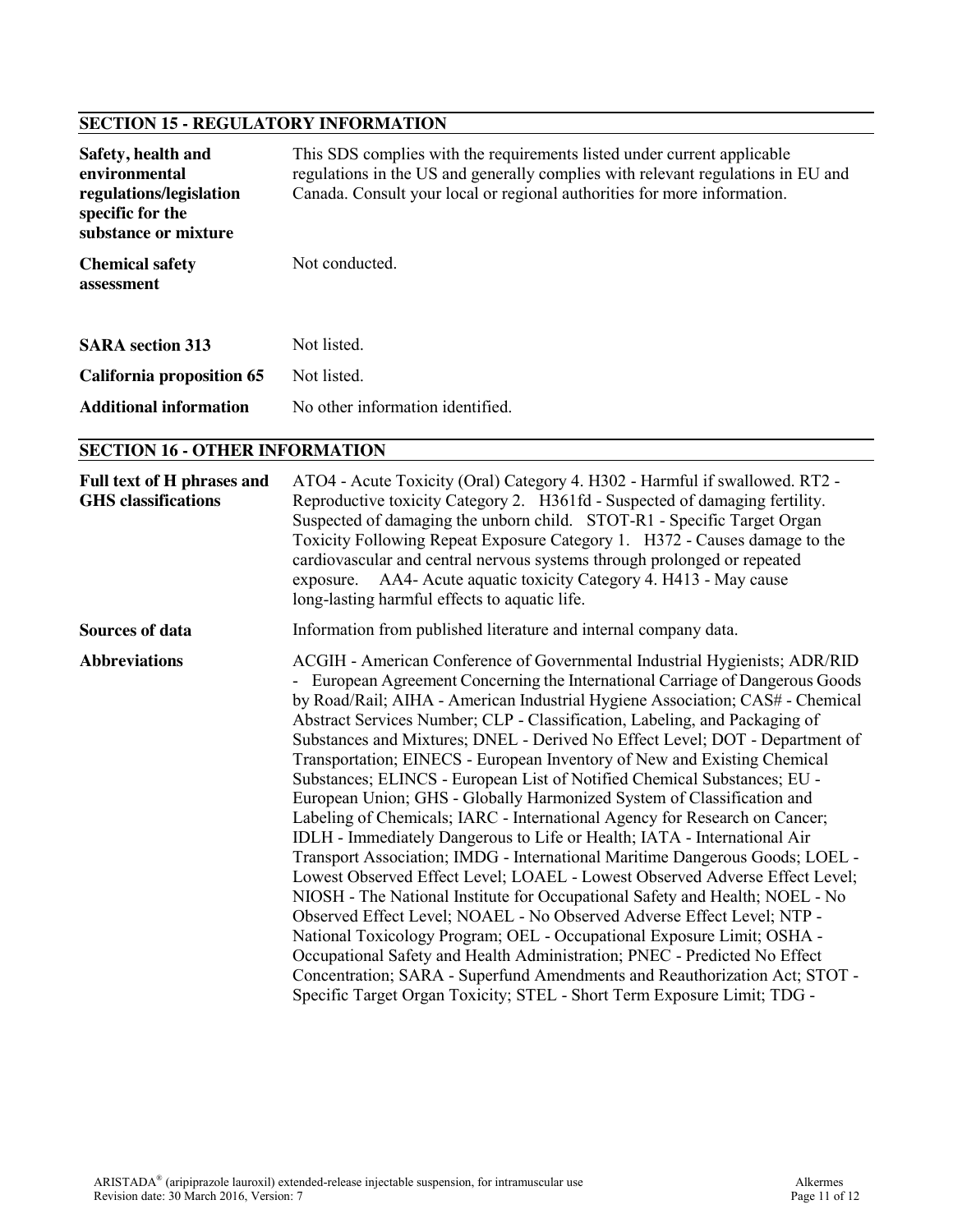# **SECTION 15 - REGULATORY INFORMATION**

| Safety, health and<br>environmental<br>regulations/legislation<br>specific for the<br>substance or mixture | This SDS complies with the requirements listed under current applicable<br>regulations in the US and generally complies with relevant regulations in EU and<br>Canada. Consult your local or regional authorities for more information. |
|------------------------------------------------------------------------------------------------------------|-----------------------------------------------------------------------------------------------------------------------------------------------------------------------------------------------------------------------------------------|
| <b>Chemical safety</b><br>assessment                                                                       | Not conducted.                                                                                                                                                                                                                          |
| <b>SARA</b> section 313                                                                                    | Not listed.                                                                                                                                                                                                                             |
| <b>California proposition 65</b>                                                                           | Not listed                                                                                                                                                                                                                              |
| <b>Additional information</b>                                                                              | No other information identified                                                                                                                                                                                                         |

## **SECTION 16 - OTHER INFORMATION**

| Full text of H phrases and<br><b>GHS</b> classifications | ATO4 - Acute Toxicity (Oral) Category 4. H302 - Harmful if swallowed. RT2 -<br>Reproductive toxicity Category 2. H361fd - Suspected of damaging fertility.<br>Suspected of damaging the unborn child. STOT-R1 - Specific Target Organ<br>Toxicity Following Repeat Exposure Category 1. H372 - Causes damage to the<br>cardiovascular and central nervous systems through prolonged or repeated<br>exposure. AA4- Acute aquatic toxicity Category 4. H413 - May cause<br>long-lasting harmful effects to aquatic life.                                                                                                                                                                                                                                                                                                                                                                                                                                                                                                                                                                                                                                                                                                                                                                                                                                                                                                                          |
|----------------------------------------------------------|-------------------------------------------------------------------------------------------------------------------------------------------------------------------------------------------------------------------------------------------------------------------------------------------------------------------------------------------------------------------------------------------------------------------------------------------------------------------------------------------------------------------------------------------------------------------------------------------------------------------------------------------------------------------------------------------------------------------------------------------------------------------------------------------------------------------------------------------------------------------------------------------------------------------------------------------------------------------------------------------------------------------------------------------------------------------------------------------------------------------------------------------------------------------------------------------------------------------------------------------------------------------------------------------------------------------------------------------------------------------------------------------------------------------------------------------------|
| <b>Sources of data</b>                                   | Information from published literature and internal company data.                                                                                                                                                                                                                                                                                                                                                                                                                                                                                                                                                                                                                                                                                                                                                                                                                                                                                                                                                                                                                                                                                                                                                                                                                                                                                                                                                                                |
| <b>Abbreviations</b>                                     | ACGIH - American Conference of Governmental Industrial Hygienists; ADR/RID<br>- European Agreement Concerning the International Carriage of Dangerous Goods<br>by Road/Rail; AIHA - American Industrial Hygiene Association; CAS# - Chemical<br>Abstract Services Number; CLP - Classification, Labeling, and Packaging of<br>Substances and Mixtures; DNEL - Derived No Effect Level; DOT - Department of<br>Transportation; EINECS - European Inventory of New and Existing Chemical<br>Substances; ELINCS - European List of Notified Chemical Substances; EU -<br>European Union; GHS - Globally Harmonized System of Classification and<br>Labeling of Chemicals; IARC - International Agency for Research on Cancer;<br>IDLH - Immediately Dangerous to Life or Health; IATA - International Air<br>Transport Association; IMDG - International Maritime Dangerous Goods; LOEL -<br>Lowest Observed Effect Level; LOAEL - Lowest Observed Adverse Effect Level;<br>NIOSH - The National Institute for Occupational Safety and Health; NOEL - No<br>Observed Effect Level; NOAEL - No Observed Adverse Effect Level; NTP -<br>National Toxicology Program; OEL - Occupational Exposure Limit; OSHA -<br>Occupational Safety and Health Administration; PNEC - Predicted No Effect<br>Concentration; SARA - Superfund Amendments and Reauthorization Act; STOT -<br>Specific Target Organ Toxicity; STEL - Short Term Exposure Limit; TDG - |